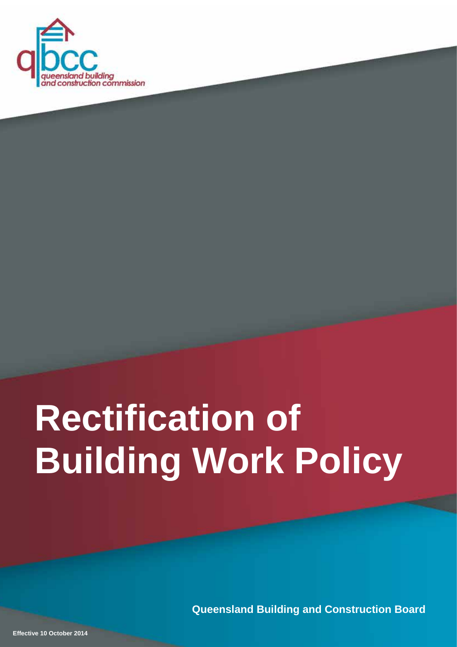

# <span id="page-0-0"></span>**Rectification of Building Work Policy**

**Queensland Building and Construction Board**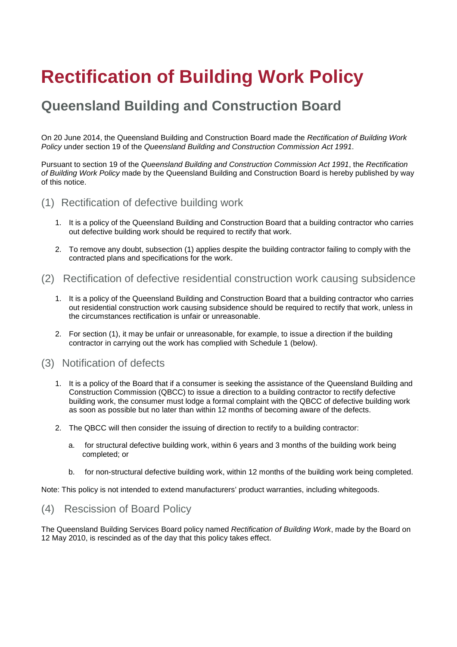# **Rectification of Building Work Policy**

# **Queensland Building and Construction Board**

On 20 June 2014, the Queensland Building and Construction Board made the *Rectification of Building Work Policy* under section 19 of the *Queensland Building and Construction Commission Act 1991*.

Pursuant to section 19 of the *Queensland Building and Construction Commission Act 1991*, the *Rectification of Building Work Policy* made by the Queensland Building and Construction Board is hereby published by way of this notice.

# (1) Rectification of defective building work

- 1. It is a policy of the Queensland Building and Construction Board that a building contractor who carries out defective building work should be required to rectify that work.
- 2. To remove any doubt, subsection (1) applies despite the building contractor failing to comply with the contracted plans and specifications for the work.

# (2) Rectification of defective residential construction work causing subsidence

- 1. It is a policy of the Queensland Building and Construction Board that a building contractor who carries out residential construction work causing subsidence should be required to rectify that work, unless in the circumstances rectification is unfair or unreasonable.
- 2. For section (1), it may be unfair or unreasonable, for example, to issue a direction if the building contractor in carrying out the work has complied with Schedule 1 (below).

# (3) Notification of defects

- 1. It is a policy of the Board that if a consumer is seeking the assistance of the Queensland Building and Construction Commission (QBCC) to issue a direction to a building contractor to rectify defective building work, the consumer must lodge a formal complaint with the QBCC of defective building work as soon as possible but no later than within 12 months of becoming aware of the defects.
- 2. The QBCC will then consider the issuing of direction to rectify to a building contractor:
	- a. for structural defective building work, within 6 years and 3 months of the building work being completed; or
	- b. for non-structural defective building work, within 12 months of the building work being completed.

Note: This policy is not intended to extend manufacturers' product warranties, including whitegoods.

# (4) Rescission of Board Policy

The Queensland Building Services Board policy named *Rectification of Building Work*, made by the Board on 12 May 2010, is rescinded as of the day that this policy takes effect.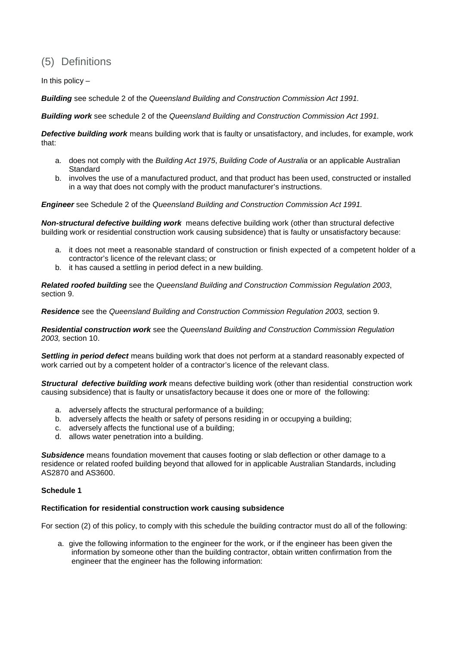# (5) Definitions

In this policy  $-$ 

*Building* see schedule 2 of the *Queensland Building and Construction Commission Act 1991.*

*Building work* see schedule 2 of the *Queensland Building and Construction Commission Act 1991.*

*Defective building work* means building work that is faulty or unsatisfactory, and includes, for example, work that:

- a. does not comply with the *Building Act 1975*, *Building Code of Australia* or an applicable Australian Standard
- b. involves the use of a manufactured product, and that product has been used, constructed or installed in a way that does not comply with the product manufacturer's instructions.

*Engineer* see Schedule 2 of the *Queensland Building and Construction Commission Act 1991.*

*Non-structural defective building work* means defective building work (other than structural defective building work or residential construction work causing subsidence) that is faulty or unsatisfactory because:

- a. it does not meet a reasonable standard of construction or finish expected of a competent holder of a contractor's licence of the relevant class; or
- b. it has caused a settling in period defect in a new building.

*Related roofed building* see the *Queensland Building and Construction Commission Regulation 2003*, section 9.

*Residence* see the *Queensland Building and Construction Commission Regulation 2003,* section 9.

*Residential construction work* see the *Queensland Building and Construction Commission Regulation 2003,* section 10.

*Settling in period defect* means building work that does not perform at a standard reasonably expected of work carried out by a competent holder of a contractor's licence of the relevant class.

*Structural defective building work* means defective building work (other than residential construction work causing subsidence) that is faulty or unsatisfactory because it does one or more of the following:

- a. adversely affects the structural performance of a building;
- b. adversely affects the health or safety of persons residing in or occupying a building;
- c. adversely affects the functional use of a building;
- d. allows water penetration into a building.

*Subsidence* means foundation movement that causes footing or slab deflection or other damage to a residence or related roofed building beyond that allowed for in applicable Australian Standards, including AS2870 and AS3600.

### **Schedule 1**

### **Rectification for residential construction work causing subsidence**

For section (2) of this policy, to comply with this schedule the building contractor must do all of the following:

a. give the following information to the engineer for the work, or if the engineer has been given the information by someone other than the building contractor, obtain written confirmation from the engineer that the engineer has the following information: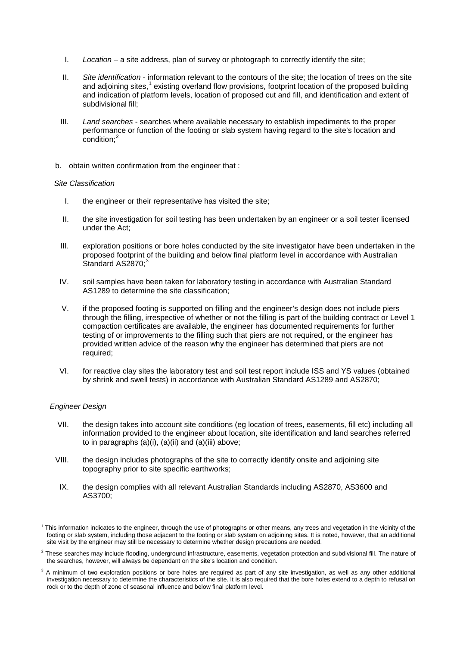- I. *Location* a site address, plan of survey or photograph to correctly identify the site;
- II. *Site identification* information relevant to the contours of the site; the location of trees on the site and adjoining sites,<sup>[1](#page-0-0)</sup> existing overland flow provisions, footprint location of the proposed building and indication of platform levels, location of proposed cut and fill, and identification and extent of subdivisional fill;
- III. *Land searches* searches where available necessary to establish impediments to the proper performance or function of the footing or slab system having regard to the site's location and  $\text{condition}^2$  $\text{condition}^2$
- b. obtain written confirmation from the engineer that :

#### *Site Classification*

- I. the engineer or their representative has visited the site;
- II. the site investigation for soil testing has been undertaken by an engineer or a soil tester licensed under the Act;
- III. exploration positions or bore holes conducted by the site investigator have been undertaken in the proposed footprint of the building and below final platform level in accordance with Australian Standard AS2870;<sup>[3](#page-3-1)</sup>
- IV. soil samples have been taken for laboratory testing in accordance with Australian Standard AS1289 to determine the site classification;
- V. if the proposed footing is supported on filling and the engineer's design does not include piers through the filling, irrespective of whether or not the filling is part of the building contract or Level 1 compaction certificates are available, the engineer has documented requirements for further testing of or improvements to the filling such that piers are not required, or the engineer has provided written advice of the reason why the engineer has determined that piers are not required;
- VI. for reactive clay sites the laboratory test and soil test report include ISS and YS values (obtained by shrink and swell tests) in accordance with Australian Standard AS1289 and AS2870;

### *Engineer Design*

- VII. the design takes into account site conditions (eg location of trees, easements, fill etc) including all information provided to the engineer about location, site identification and land searches referred to in paragraphs  $(a)(i)$ ,  $(a)(ii)$  and  $(a)(iii)$  above;
- VIII. the design includes photographs of the site to correctly identify onsite and adjoining site topography prior to site specific earthworks;
- IX. the design complies with all relevant Australian Standards including AS2870, AS3600 and AS3700;

This information indicates to the engineer, through the use of photographs or other means, any trees and vegetation in the vicinity of the footing or slab system, including those adjacent to the footing or slab system on adjoining sites. It is noted, however, that an additional site visit by the engineer may still be necessary to determine whether design precautions are needed.

<span id="page-3-0"></span> $<sup>2</sup>$  These searches may include flooding, underground infrastructure, easements, vegetation protection and subdivisional fill. The nature of</sup> the searches, however, will always be dependant on the site's location and condition.

<span id="page-3-1"></span> $3$  A minimum of two exploration positions or bore holes are required as part of any site investigation, as well as any other additional investigation necessary to determine the characteristics of the site. It is also required that the bore holes extend to a depth to refusal on rock or to the depth of zone of seasonal influence and below final platform level.